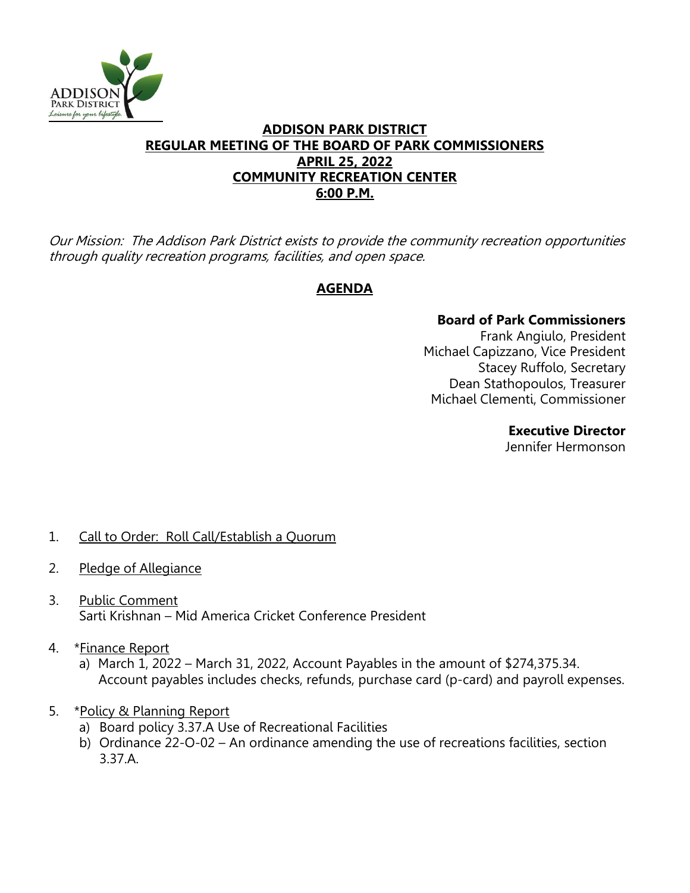

## **ADDISON PARK DISTRICT REGULAR MEETING OF THE BOARD OF PARK COMMISSIONERS APRIL 25, 2022 COMMUNITY RECREATION CENTER 6:00 P.M.**

Our Mission: The Addison Park District exists to provide the community recreation opportunities through quality recreation programs, facilities, and open space.

# **AGENDA**

## **Board of Park Commissioners**

Frank Angiulo, President Michael Capizzano, Vice President Stacey Ruffolo, Secretary Dean Stathopoulos, Treasurer Michael Clementi, Commissioner

### **Executive Director**

Jennifer Hermonson

# 1. Call to Order: Roll Call/Establish a Quorum

- 2. Pledge of Allegiance
- 3. Public Comment Sarti Krishnan – Mid America Cricket Conference President
- 4. \*Finance Report
	- a) March 1, 2022 March 31, 2022, Account Payables in the amount of \$274,375.34. Account payables includes checks, refunds, purchase card (p-card) and payroll expenses.
- 5. \*Policy & Planning Report
	- a) Board policy 3.37.A Use of Recreational Facilities
	- b) Ordinance 22-O-02 An ordinance amending the use of recreations facilities, section 3.37.A.